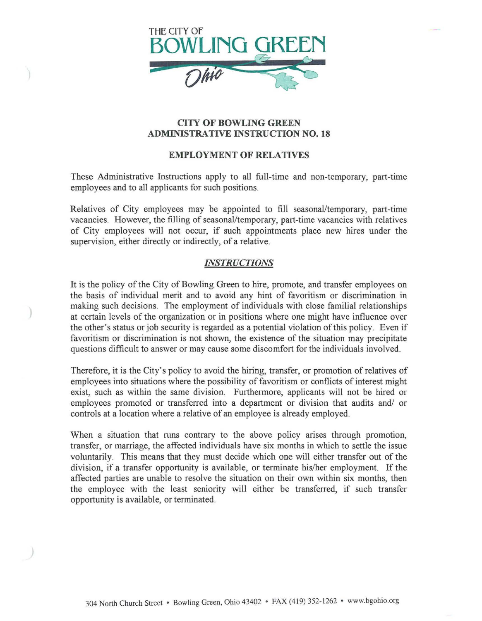

# CITY OF BOWLING GREEN ADMINISTRATIVE INSTRUCTION NO. 18

#### EMPLOYMENT OF RELATIVES

These Administrative Instructions apply to all full-time and non-temporary, part-time employees and to all applicants for such positions.

Relatives of City employees may be appointed to fill seasonal/temporary, part-time vacancies. However, the filling of seasonal/temporary, part-time vacancies with relatives of City employees will not occur, if such appointments place new hires under the supervision, either directly or indirectly, of a relative.

## *INSTRUCTIONS*

It is the policy of the City of Bowling Green to hire, promote, and transfer employees on the basis of individual merit and to avoid any hint of favoritism or discrimination in making such decisions. The employment of individuals with close familial relationships at certain levels of the organization or in positions where one might have influence over the other's status or job security is regarded as a potential violation of this policy. Even if favoritism or discrimination is not shown, the existence of the situation may precipitate questions difficult to answer or may cause some discomfort for the individuals involved.

Therefore, it is the City's policy to avoid the hiring, transfer, or promotion of relatives of employees into situations where the possibility of favoritism or conflicts of interest might exist, such as within the same division. Furthermore, applicants will not be hired or employees promoted or transferred into a department or division that audits and/ or controls at a location where a relative of an employee is already employed.

When a situation that runs contrary to the above policy arises through promotion, transfer, or marriage, the affected individuals have six months in which to settle the issue voluntarily. This means that they must decide which one will either transfer out of the division, if a transfer opportunity is available, or terminate his/her employment. If the affected parties are unable to resolve the situation on their own within six months, then the employee with the least seniority will either be transferred, if such transfer opportunity is available, or terminated.